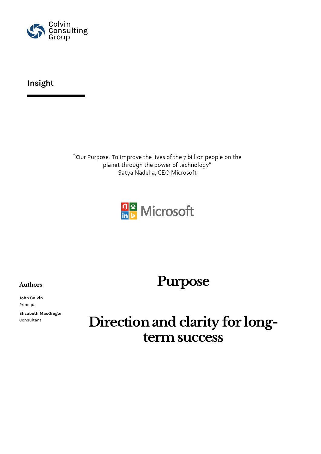

### **Insight**

"Our Purpose: To improve the lives of the 7 billion people on the planet through the power of technology" Satya Nadella, CEO Microsoft



## **Purpose**

**Authors**

**John Colvin** Principal

**Elizabeth MacGregor** Consultant

# **Direction and clarity for longterm success**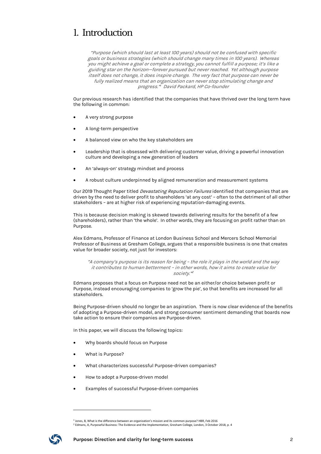### 1. Introduction

"Purpose (which should last at least 100 years) should not be confused with specific goals or business strategies (which should change many times in 100 years). Whereas you might achieve a goal or complete a strategy, you cannot fulfill a purpose; it's like a guiding star on the horizon—forever pursued but never reached. Yet although purpose itself does not change, it does inspire change. The very fact that purpose can never be fully realized means that an organization can never stop stimulating change and progress."<sup>1</sup> David Packard, HP Co-founder

Our previous research has identified that the companies that have thrived over the long term have the following in common:

- A very strong purpose
- A long-term perspective
- A balanced view on who the key stakeholders are
- Leadership that is obsessed with delivering customer value, driving a powerful innovation culture and developing a new generation of leaders
- An 'always-on' strategy mindset and process
- A robust culture underpinned by aligned remuneration and measurement systems

Our 2019 Thought Paper titled *Devastating Reputation Failures* identified that companies that are driven by the need to deliver profit to shareholders 'at any cost' – often to the detriment of all other stakeholders – are at higher risk of experiencing reputation-damaging events.

This is because decision making is skewed towards delivering results for the benefit of a few (shareholders), rather than 'the whole'. In other words, they are focusing on profit rather than on Purpose.

Alex Edmans, Professor of Finance at London Business School and Mercers School Memorial Professor of Business at Gresham College, argues that a responsible business is one that creates value for broader society, not just for investors:

"A company's purpose is its reason for being – the role it plays in the world and the way it contributes to human betterment – in other words, how it aims to create value for society."<sup>2</sup>

Edmans proposes that a focus on Purpose need not be an either/or choice between profit or Purpose, instead encouraging companies to 'grow the pie', so that benefits are increased for all stakeholders.

Being Purpose-driven should no longer be an aspiration. There is now clear evidence of the benefits of adopting a Purpose-driven model, and strong consumer sentiment demanding that boards now take action to ensure their companies are Purpose-driven.

In this paper, we will discuss the following topics:

- Why boards should focus on Purpose
- What is Purpose?
- What characterizes successful Purpose-driven companies?
- How to adopt a Purpose-driven model
- Examples of successful Purpose-driven companies

<sup>&</sup>lt;sup>1</sup> Jones, B, What is the difference between an organization's mission and its common purpose? HBR, Feb 2016<br><sup>2</sup> Edmans, A, Purposeful Business: The Evidence and the Implementation, Gresham College, London, 3 October 2018

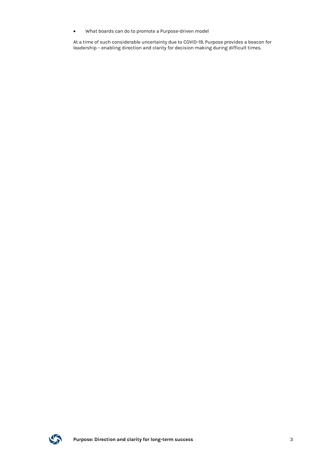• What boards can do to promote a Purpose-driven model

At a time of such considerable uncertainty due to COVID-19, Purpose provides a beacon for leadership – enabling direction and clarity for decision making during difficult times.

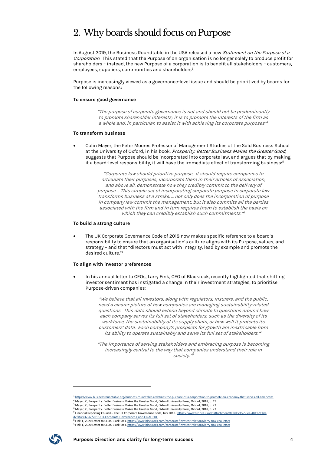## 2. Why boards should focus on Purpose

In August 2019, the Business Roundtable in the USA released a new Statement on the Purpose of a Corporation. This stated that the Purpose of an organisation is no longer solely to produce profit for shareholders – instead, the new Purpose of a corporation is to benefit all stakeholders – customers, employees, suppliers, communities and shareholders<sup>3</sup>.

Purpose is increasingly viewed as a governance-level issue and should be prioritized by boards for the following reasons:

#### **To ensure good governance**

"The purpose of corporate governance is not and should not be predominantly to promote shareholder interests; it is to promote the interests of the firm as a whole and, in particular, to assist it with achieving its corporate purposes<sup>"4</sup>

#### **To transform business**

• Colin Mayer, the Peter Moores Professor of Management Studies at the Saïd Business School at the University of Oxford, in his book, Prosperity: Better Business Makes the Greater Good, suggests that Purpose should be incorporated into corporate law, and argues that by making it a board-level responsibility, it will have the immediate effect of transforming business:<sup>5</sup>

> "Corporate law should prioritize purpose. It should require companies to articulate their purposes, incorporate them in their articles of association, and above all, demonstrate how they credibly commit to the delivery of purpose … This simple act of incorporating corporate purpose in corporate law transforms business at a stroke. … not only does the incorporation of purpose in company law commit the management, but it also commits all the parties associated with the firm and in turn requires them to establish the basis on which they can credibly establish such commitments." 6

#### **To build a strong culture**

• The UK Corporate Governance Code of 2018 now makes specific reference to a board's responsibility to ensure that an organisation's culture aligns with its Purpose, values, and strategy – and that "directors must act with integrity, lead by example and promote the desired culture."7

#### **To align with investor preferences**

• In his annual letter to CEOs, Larry Fink, CEO of Blackrock, recently highlighted that shifting investor sentiment has instigated a change in their investment strategies, to prioritise Purpose-driven companies:

> "We believe that all investors, along with regulators, insurers, and the public, need a clearer picture of how companies are managing sustainability-related questions. This data should extend beyond climate to questions around how each company serves its full set of stakeholders, such as the diversity of its workforce, the sustainability of its supply chain, or how well it protects its customers' data. Each company's prospects for growth are inextricable from its ability to operate sustainably and serve its full set of stakeholders." 8

> "The importance of serving stakeholders and embracing purpose is becoming increasingly central to the way that companies understand their role in society." 9

<sup>9</sup> Fink. L, 2020 Letter to CEOs. BlackRock. https://www.blackrock.com/corporate/investor-relations/larry-fink-ceo-letter



<sup>&</sup>lt;sup>3</sup> https://www.businessroundtable.org/business-roundtable-redefines-the-purpose-of-a-corporation-to-promote-an-economy-that-serves-all-americans<br><sup>4</sup> Mayer, C, Prosperity. Better Business Makes the Greater Good, Oxford Uni

<sup>5</sup> Mayer, C, Prosperity. Better Business Makes the Greater Good, Oxford University Press, Oxford, 2018, p. 23 <sup>6</sup> Mayer, C, Prosperity. Better Business Makes the Greater Good, Oxford University Press, Oxford, 2018, p. 23

<sup>7</sup> Financial Reporting Council – The UK Corporate Governance Code, July 2018. https://www.frc.org.uk/getattachment/88bd8c45-50ea-4841-95b0-

d2f4f48069a2/2018-UK-Corporate-Governance-Code-FINAL.PDF

<sup>&</sup>lt;u>1 Fink. L, 2020 Letter to CEOs. BlackRock. https://www.blackrock.com/corporate/investor-relations/larry-fink-ceo-letter</u>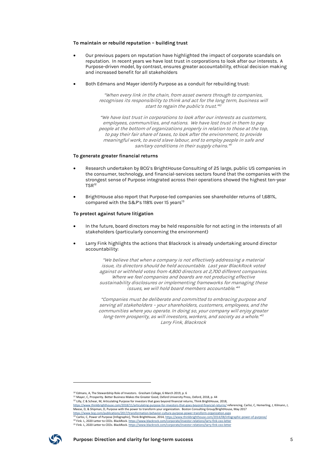#### **To maintain or rebuild reputation – building trust**

- Our previous papers on reputation have highlighted the impact of corporate scandals on reputation. In recent years we have lost trust in corporations to look after our interests. A Purpose-driven model, by contrast, ensures greater accountability, ethical decision making and increased benefit for all stakeholders
- Both Edmans and Mayer identify Purpose as a conduit for rebuilding trust:

"When every link in the chain, from asset owners through to companies, recognises its responsibility to think and act for the long term, business will start to regain the public's trust."<sup>10</sup>

"We have lost trust in corporations to look after our interests as customers, employees, communities, and nations. We have lost trust in them to pay people at the bottom of organizations properly in relation to those at the top, to pay their fair share of taxes, to look after the environment, to provide meaningful work, to avoid slave labour, and to employ people in safe and sanitary conditions in their supply chains."<sup>11</sup>

#### **To generate greater financial returns**

- Research undertaken by BCG's BrightHouse Consulting of 25 large, public US companies in the consumer, technology, and financial-services sectors found that the companies with the strongest sense of Purpose integrated across their operations showed the highest ten-year TSR12
- BrightHouse also report that Purpose-led companies see shareholder returns of 1,681%, compared with the S&P's 118% over 15 years<sup>13</sup>

#### **To protect against future litigation**

- In the future, board directors may be held responsible for not acting in the interests of all stakeholders (particularly concerning the environment)
- Larry Fink highlights the actions that Blackrock is already undertaking around director accountability:

"We believe that when a company is not effectively addressing a material issue, its directors should be held accountable. Last year BlackRock voted against or withheld votes from 4,800 directors at 2,700 different companies. Where we feel companies and boards are not producing effective sustainability disclosures or implementing frameworks for managing these issues, we will hold board members accountable." 14

"Companies must be deliberate and committed to embracing purpose and serving all stakeholders – your shareholders, customers, employees, and the communities where you operate. In doing so, your company will enjoy greater long-term prosperity, as will investors, workers, and society as a whole."<sup>5</sup> Larry Fink, Blackrock

<sup>15</sup> Fink. L, 2020 Letter to CEOs. BlackRock. https://www.blackrock.com/corporate/investor-relations/larry-fink-ceo-letter



<sup>10</sup> Edmans, A, The Stewardship Role of Investors. Gresham College, 6 March 2019, p. 6

<sup>11</sup> Mayer, C, Prosperity. Better Business Makes the Greater Good, Oxford University Press, Oxford, 2018, p. 44

<sup>12</sup> Lilly, C & Schear, M, Articulating Purpose for investors that goes beyond financial returns, Think BrightHouse, 2018, https://www.thinkbrighthouse.com/2018/11/articulating-purpose-for-investors-that-goes-beyond-financial-returns/ referencing, Carlisi, C, Hemerling, J, Kilmann, J, Meese, D, & Shipman, D, Purpose with the power to transform your organization. Boston Consulting Group/BrightHouse, May 2017<br>https://www.bcg.com/publications/2017/transformation-behavior-culture-purpose-power-transform-org

<sup>&</sup>lt;sup>13</sup> Carlisi, C, Power of Purpose [Infographic], Think BrightHouse, 2014, https://www.thinkbrighthouse.com/2014/08/infographic-power-of-purpose/

<sup>14</sup> Fink. L, 2020 Letter to CEOs. BlackRock. https://www.blackrock.com/corporate/investor-relations/larry-fink-ceo-letter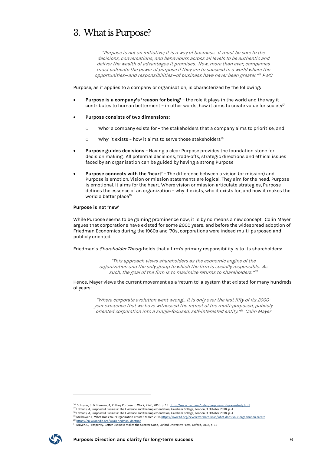### 3. What is Purpose?

"Purpose is not an initiative; it is a way of business. It must be core to the decisions, conversations, and behaviours across all levels to be authentic and deliver the wealth of advantages it promises. Now, more than ever, companies must cultivate the power of purpose if they are to succeed in a world where the opportunities—and responsibilities—of business have never been greater."<sup>16</sup> PWC

Purpose, as it applies to a company or organisation, is characterized by the following:

- **Purpose is a company's 'reason for being'** the role it plays in the world and the way it contributes to human betterment - in other words, how it aims to create value for society<sup>17</sup>
- **Purpose consists of two dimensions:**
	- o 'Who' a company exists for the stakeholders that a company aims to prioritise, and
	- $\degree$  'Why' it exists how it aims to serve those stakeholders<sup>18</sup>
- **Purpose guides decisions** Having a clear Purpose provides the foundation stone for decision making. All potential decisions, trade-offs, strategic directions and ethical issues faced by an organisation can be guided by having a strong Purpose
- **Purpose connects with the 'heart'** The difference between a vision (or mission) and Purpose is emotion. Vision or mission statements are logical. They aim for the head. Purpose is emotional. It aims for the heart. Where vision or mission articulate strategies, Purpose defines the essence of an organization – why it exists, who it exists for, and how it makes the world a better place<sup>19</sup>

#### **Purpose is not 'new'**

While Purpose seems to be gaining prominence now, it is by no means a new concept. Colin Mayer argues that corporations have existed for some 2000 years, and before the widespread adoption of Friedman Economics during the 1960s and '70s, corporations were indeed multi-purposed and publicly oriented.

Friedman's Shareholder Theory holds that a firm's primary responsibility is to its shareholders:

"This approach views shareholders as the economic engine of the organization and the only group to which the firm is socially responsible. As such, the goal of the firm is to maximize returns to shareholders." 20

Hence, Mayer views the current movement as a 'return to' a system that existed for many hundreds of years:

"Where corporate evolution went wrong… It is only over the last fifty of its 2000 year existence that we have witnessed the retreat of the multi-purposed, publicly oriented corporation into a single-focused, self-interested entity."<sup>21</sup> Colin Mayer

<sup>21</sup> Mayer, C, Prosperity. Better Business Makes the Greater Good, Oxford University Press, Oxford, 2018, p. 15



<sup>&</sup>lt;sup>16</sup> Schuyler, S. & Brennan, A, Putting Purpose to Work, PWC, 2016. p. 13 https://www.pwc.com/us/en/purpose-

<sup>17</sup> Edmans, A, Purposeful Business: The Evidence and the Implementation, Gresham College, London, 3 October 2018, p. 4

<sup>18</sup> Edmans, A, Purposeful Business: The Evidence and the Implementation, Gresham College, London, 3 October 2018, p. 4 <sup>19</sup> Millbower, L, What Does Your Organization Create? March 2018 https://www.td.org/newsletters/atd-links/what-does-your-organization-create

<sup>&</sup>lt;sup>2</sup> https://en.wikipedia.org/wiki/Friedman\_doctrine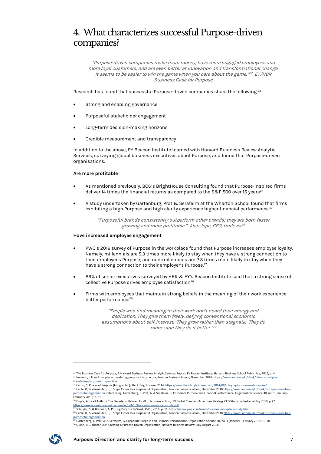### 4. What characterizes successful Purpose-driven companies?

"Purpose-driven companies make more money, have more engaged employees and more loyal customers, and are even better at innovation and transformational change. It seems to be easier to win the game when you care about the game."<sup>22</sup> EY/HBR Business Case for Purpose

Research has found that successful Purpose-driven companies share the following:<sup>23</sup>

- Strong and enabling governance
- Purposeful stakeholder engagement
- Long-term decision-making horizons
- Credible measurement and transparency

In addition to the above, EY Beacon Institute teamed with Harvard Business Review Analytic Services, surveying global business executives about Purpose, and found that Purpose-driven organisations:

#### **Are more profitable**

- As mentioned previously, BCG's BrightHouse Consulting found that Purpose-inspired firms deliver 14 times the financial returns as compared to the S&P 500 over 15 years<sup>24</sup>
- A study undertaken by Gartenburg, Prat & Serafeim at the Wharton School found that firms exhibiting a high Purpose and high clarity experience higher financial performance<sup>25</sup>

"Purposeful brands consistently outperform other brands; they are both faster growing and more profitable." Alan Jope, CEO, Unilever<sup>26</sup>

#### **Have increased employee engagement**

- PWC's 2016 survey of Purpose in the workplace found that Purpose increases employee loyalty. Namely, millennials are 5.3 times more likely to stay when they have a strong connection to their employer's Purpose, and non-millennials are 2.3 times more likely to stay when they have a strong connection to their employer's Purpose.<sup>27</sup>
- 89% of senior executives surveyed by HBR & EY's Beacon Institute said that a strong sense of collective Purpose drives employee satisfaction<sup>28</sup>
- Firms with employees that maintain strong beliefs in the meaning of their work experience better performance: 29

"People who find meaning in their work don't hoard their energy and dedication. They give them freely, defying conventional economic assumptions about self-interest. They grow rather than stagnate. They do more—and they do it better." 30

<sup>&</sup>lt;u>purposeful-organisation</u><br><sup>29</sup> Gartenberg, C. Prat, A. & Serafeim, G, Corporate Purpose and Financial Performance, Organization Science 30, no. 1 (January–February 2019): 1–18. <sup>30</sup> Quinn, R.E. Thakor, A.V, Creating a Purpose-Driven Organization, Harvard Business Review, July-August 2018



<sup>&</sup>lt;sup>22</sup> The Business Case for Purpose, A Harvard Business Review Analytic Services Report, EY Beacon Institute, Harvard Business School Publishing, 2015, p. 4 23 Ioannou, I, Four Principles – translating purpose into practice, London Business School, November 2016. https://www.london.edu/think/li-four-principlestranslating-purpose-into-practice

<sup>&</sup>lt;sup>24</sup> Carlisi, C, Power of Purpose [Infographic], Think BrightHouse, 2014, https://www.thinkbrighthouse.com/2014/08/infographic-power-of-purpose/

<sup>25</sup> Cable, D, & Vermeulen, F, 3 Steps Closer to a Purposeful Organisation, London Business School, December 2018 https://www.london.edu/think/3-steps-closer-to-apurposeful-organisation, referencing, Gartenberg, C. Prat, A. & Serafeim, G, Corporate Purpose and Financial Performance, Organization Science 30, no. 1 (January– February 2019): 1–18.

<sup>&</sup>lt;sup>26</sup> Gupta, A (Lead Author), The Decade to Deliver: A call to business action, UN Global Compact-Accenture Strategy CEO Study on Sustainability 2019, p.22 https://www.accenture.com/\_acnmedia/pdf-109/accenture-ungc-ceo-study.pdf<br><sup>27</sup> Schuyler, S. & Brennan, A, Putting Purpose to Work, PWC, 2016. p. 11\_h<u>ttps://www.pwc.com/us/en/purpose-workplace-study.html</u><br><sup>28</sup> Cable, D, & V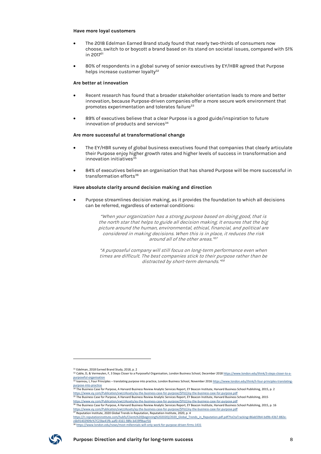#### **Have more loyal customers**

- The 2018 Edelman Earned Brand study found that nearly two-thirds of consumers now choose, switch to or boycott a brand based on its stand on societal issues, compared with 51% in 201731
- 80% of respondents in a global survey of senior executives by EY/HBR agreed that Purpose helps increase customer loyalty<sup>32</sup>

#### **Are better at innovation**

- Recent research has found that a broader stakeholder orientation leads to more and better innovation, because Purpose-driven companies offer a more secure work environment that promotes experimentation and tolerates failure<sup>33</sup>
- 89% of executives believe that a clear Purpose is a good guide/inspiration to future innovation of products and services<sup>34</sup>

#### **Are more successful at transformational change**

- The EY/HBR survey of global business executives found that companies that clearly articulate their Purpose enjoy higher growth rates and higher levels of success in transformation and innovation initiatives $35$
- 84% of executives believe an organisation that has shared Purpose will be more successful in transformation efforts<sup>36</sup>

#### **Have absolute clarity around decision making and direction**

• Purpose streamlines decision making, as it provides the foundation to which all decisions can be referred, regardless of external conditions:

> "When your organization has a strong purpose based on doing good, that is the north star that helps to guide all decision making. It ensures that the big picture around the human, environmental, ethical, financial, and political are considered in making decisions. When this is in place, it reduces the risk around all of the other areas." 37

> "A purposeful company will still focus on long-term performance even when times are difficult. The best companies stick to their purpose rather than be distracted by short-term demands."<sup>88</sup>



<sup>&</sup>lt;sup>31</sup> Edelman, 2018 Earned Brand Study, 2018, p. 2

<sup>32</sup> Cable, D, & Vermeulen, F, 3 Steps Closer to a Purposeful Organisation, London Business School, December 2018 https://www.london.edu/think/3-steps-closer-to-apurposeful-organisation<br><sup>33</sup> Ioannou, I, Four Principles – translating purpose into practice, London Business School, November 2016 <u>https://www.london.edu/think</u>/li-four-principles-translating-

purpose-into-practice

<sup>&</sup>lt;sup>1</sup> The Business Case for Purpose, A Harvard Business Review Analytic Services Report, EY Beacon Institute, Harvard Business School Publishing, 2015, p. 2 https://www.ey.com/Publication/vwLUAssets/ey-the-business-case-for-purpose/\$FILE/ey-the-business-case-for-purpose.pdf <sup>35</sup> The Business Case for Purpose, A Harvard Business Review Analytic Services Report, EY Beacon Institute, Harvard Business School Publishing, 2015

https://www.ey.com/Publication/vwLUAssets/ey-the-business-case-for-purpose/\$FILE/ey-the-business-case-for-purpose.pdf<br><sup>36</sup> The Business Case for Purpose, A Harvard Business Review Analytic Services Report, EY Beacon Instit

https://www.ey.com/Publication/vwLUAssets/ey-the-business-case-for-purpose/\$FILE/ey-the-business-case-for-purpose.pdf <sup>37</sup> Reputation Institute, 2020 Global Trends in Reputation, Reputation Institute, 2020, p. 4

https://ri.reputationinstitute.com/hubfs/Clients%20(beginning%202020)/2020\_Global\_Trends\_in\_Reputation.pdf.pdf?hsCtaTracking=86ab59b4-bd9b-43b7-882e-<u>c6b91402909c%7C23be41fb-aaf0-4161-98fe-b419f9bacf16</u><br><sup>38</sup> <u>https://www.london.edu/news/most-millennials-will-only-work-for-purpose-driven-firms-1431</u>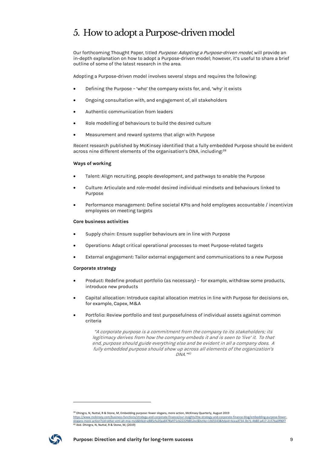## 5. How to adopt a Purpose-driven model

Our forthcoming Thought Paper, titled Purpose: Adopting a Purpose-driven model, will provide an in-depth explanation on how to adopt a Purpose-driven model; however, it's useful to share a brief outline of some of the latest research in the area.

Adopting a Purpose-driven model involves several steps and requires the following:

- Defining the Purpose 'who' the company exists for, and, 'why' it exists
- Ongoing consultation with, and engagement of, all stakeholders
- Authentic communication from leaders
- Role modelling of behaviours to build the desired culture
- Measurement and reward systems that align with Purpose

Recent research published by McKinsey identified that a fully embedded Purpose should be evident across nine different elements of the organisation's DNA, including:39

#### **Ways of working**

- Talent: Align recruiting, people development, and pathways to enable the Purpose
- Culture: Articulate and role-model desired individual mindsets and behaviours linked to Purpose
- Performance management: Define societal KPIs and hold employees accountable / incentivize employees on meeting targets

#### **Core business activities**

- Supply chain: Ensure supplier behaviours are in line with Purpose
- Operations: Adapt critical operational processes to meet Purpose-related targets
- External engagement: Tailor external engagement and communications to a new Purpose

#### **Corporate strategy**

- Product: Redefine product portfolio (as necessary) for example, withdraw some products, introduce new products
- Capital allocation: Introduce capital allocation metrics in line with Purpose for decisions on, for example, Capex, M&A
- Portfolio: Review portfolio and test purposefulness of individual assets against common criteria

"A corporate purpose is a commitment from the company to its stakeholders; its legitimacy derives from how the company embeds it and is seen to 'live' it. To that end, purpose should guide everything else and be evident in all a company does. A fully embedded purpose should show up across all elements of the organization's  $DNA.$   $M0$ 

https://www.mckinsey.com/business-functions/strategy-and-corporate-finance/our-insights/the-strategy-and-corporate-finance-blog/embedding-purpose-fewerslogans-more-action?cid=other-eml-alt-mip-mck&hlkid=e885cfa20aa8478a971cb2222fd812ec&hctky=1365543&hdpid=bcead734-3b71-4b80-a417-2157ba0f96f7<br><sup>40</sup> ibid. Dhingra, N, Nuttal, R & Stone, M, (2019)



<sup>&</sup>lt;sup>39</sup> Dhingra, N, Nuttal, R & Stone, M, Embedding purpose: fewer slogans, more action, McKinsey Quarterly, August 2019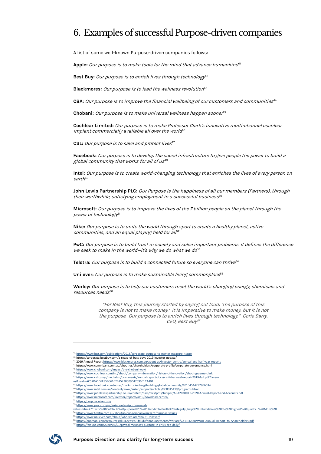### 6. Examples of successful Purpose-driven companies

A list of some well-known Purpose-driven companies follows:

Apple: Our purpose is to make tools for the mind that advance humankind<sup>41</sup>

Best Buy: Our purpose is to enrich lives through technology<sup>12</sup>

Blackmores: Our purpose is to lead the wellness revolution<sup>43</sup>

**CBA:** Our purpose is to improve the financial wellbeing of our customers and communities<sup>44</sup>

**Chobani:** Our purpose is to make universal wellness happen sooner<sup>45</sup>

**Cochlear Limited:** Our purpose is to make Professor Clark's innovative multi-channel cochlear implant commercially available all over the world<sup>46</sup>

**CSL:** Our purpose is to save and protect lives<sup>47</sup>

**Facebook:** Our purpose is to develop the social infrastructure to give people the power to build a global community that works for all of  $us^{48}$ 

**Intel:** Our purpose is to create world-changing technology that enriches the lives of every person on  $earth<sup>49</sup>$ 

**John Lewis Partnership PLC:** Our Purpose is the happiness of all our members (Partners), through their worthwhile, satisfying employment in a successful business<sup>50</sup>

**Microsoft:** Our purpose is to improve the lives of the 7 billion people on the planet through the power of technology<sup>51</sup>

**Nike:** Our purpose is to unite the world through sport to create a healthy planet, active communities, and an equal playing field for al $f^{2}$ 

**PwC:** Our purpose is to build trust in society and solve important problems. It defines the difference we seek to make in the world-it's why we do what we do $53$ 

Telstra: Our purpose is to build a connected future so everyone can thrive<sup>54</sup>

Unilever: Our purpose is to make sustainable living commonplace<sup>55</sup>

**Worley:** Our purpose is to help our customers meet the world's changing energy, chemicals and resources needs<sup>56</sup>

> "For Best Buy, this journey started by saying out loud: 'The purpose of this company is not to make money.' It is imperative to make money, but it is not the purpose. Our purpose is to enrich lives through technology."Corie Barry, CEO, Best Buy<sup>57</sup>

53 https://www.pwc.com/us/en/about-us/purpose-and-

<sup>57</sup> https://fortune.com/2020/07/01/paypal-mckinsey-purpose-in-crisis-ceo-daily/



<sup>41</sup> https://www.bcg.com/publications/2018/corporate-purpose-to-m

<sup>42</sup> https://corporate.bestbuy.com/a-recap-of-best-buys-2019-investor-update/ <sup>43</sup> 2019 Annual Report https://www.blackmores.com.au/about-us/investor-centre/annual-and-half-year-reports

<sup>44</sup> https://www.commbank.com.au/about-us/shareholders/corporate-profile/corporate-governance.html

<sup>45</sup> https://www.chobani.com/impact/the-chobani-way/

<sup>46</sup> https://www.cochlear.com/intl/about/company-information/history-of-innovation/about-graeme-clark 47 https://www.csl.com/-/media/csl/documents/annual-report-docs/csl-ltd-annual-report-2019-full.pdf?la=en-

us&hash=AC57DA1C6E85B66162B25238509C47596E1CA401

<sup>48</sup> https://www.facebook.com/notes/mark-zuckerberg/building-global-community/10154544292806634

<sup>49</sup> https://www.intel.com.au/content/www/au/en/support/articles/000015119/programs.html <sup>50</sup> https://www.johnlewispartnership.co.uk/content/dam/cws/pdfs/Juniper/ARA2020/JLP-2020-Annual-Report-and-Accounts.pdf

<sup>51</sup> https://www.microsoft.com/investor/reports/ar19/download-center/

<sup>52</sup> https://purpose.nike.com/

values.html#:~:text=%20PwC%27s%20purpose%20%201%20Act%20with%20integrity.,help%20us%20deliver%20the%20highest%20quality...%20More%20

<sup>54</sup> https://www.telstra.com.au/aboutus/our-company/present/purpose-values 55 https://www.unilever.com/about/who-we-are/about-Unilever/

https://quoteapi.com/resources/d616aea9991fd6d0/announcements/wor.asx/2A1166838/WOR\_Annual\_Report\_to\_Shareholders.pdf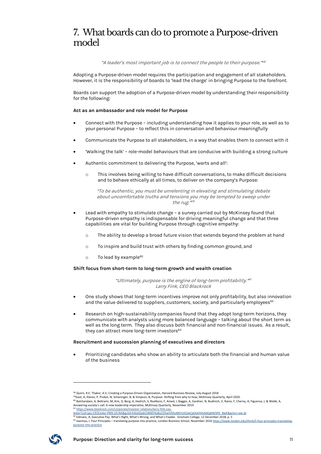### 7. What boards can do to promote a Purpose-driven model

"A leader's most important job is to connect the people to their purpose."<sup>58</sup>

Adopting a Purpose-driven model requires the participation and engagement of all stakeholders. However, it is the responsibility of boards to 'lead the charge' in bringing Purpose to the forefront.

Boards can support the adoption of a Purpose-driven model by understanding their responsibility for the following:

#### **Act as an ambassador and role model for Purpose**

- Connect with the Purpose including understanding how it applies to your role, as well as to your personal Purpose – to reflect this in conversation and behaviour meaningfully
- Communicate the Purpose to all stakeholders, in a way that enables them to connect with it
- 'Walking the talk' role-model behaviours that are conducive with building a strong culture
- Authentic commitment to delivering the Purpose, 'warts and all':
	- o This involves being willing to have difficult conversations, to make difficult decisions and to behave ethically at all times, to deliver on the company's Purpose:

"To be authentic, you must be unrelenting in elevating and stimulating debate about uncomfortable truths and tensions you may be tempted to sweep under the rug." 59

- Lead with empathy to stimulate change a survey carried out by McKinsey found that Purpose-driven empathy is indispensable for driving meaningful change and that three capabilities are vital for building Purpose through cognitive empathy:
	- o The ability to develop a broad future vision that extends beyond the problem at hand
	- o To inspire and build trust with others by finding common ground, and
	- $\circ$  To lead by example<sup>60</sup>

#### **Shift focus from short-term to long-term growth and wealth creation**

"Ultimately, purpose is the engine of long-term profitability."<sup>61</sup> Larry Fink, CEO Blackrock

- One study shows that long-term incentives improve not only profitability, but also innovation and the value delivered to suppliers, customers, society, and particularly employees<sup>62</sup>
- Research on high-sustainability companies found that they adopt long-term horizons, they communicate with analysts using more balanced language – talking about the short term as well as the long term. They also discuss both financial and non-financial issues. As a result, they can attract more long-term investors<sup>63</sup>

#### **Recruitment and succession planning of executives and directors**

• Prioritizing candidates who show an ability to articulate both the financial and human value of the business

<sup>63</sup> Ioannou, I, Four Principles – translating purpose into practice, London Business School, November 2016 https://www.london.edu/think/li-four-principles-translatingpurpose-into-practice



<sup>58</sup> Quinn, R.E. Thakor, A.V, Creating a Purpose-Driven Organization, Harvard Business Review, July-August 2018

<sup>&</sup>lt;sup>59</sup>Gast, A, Illanes, P, Probst, N, Schaninger, B, & Simpson, B, Purpose: Shifting from why to how, McKinsey Quarterly, April 2020.<br><sup>60</sup> Balchandani, A, Beltrami, M, Kim, D, Berg, A, Hedrich, S, Roelkens, F, Amed, I, Baggi Answering society's call: A new leadership imperative, McKinsey Quarterly, November 2019

<sup>61</sup> https://www.blackrock.com/corporate/investor-relations/larry-fink-ceo-

l<u>etter?cid=ppc:CEOLetter:PMS:US:NA&gclid=EAIaIQobChMI0Y6z8uCD5wIVDSsMCh1EOwCpEAAYASAAEgKW5PD\_BwE&gclsrc=aw.ds</u><br><sup>62</sup> Edmans, A, Executive Pay: What's Right, What's Wrong, and What's Fixable. Gresham College, 12 December 20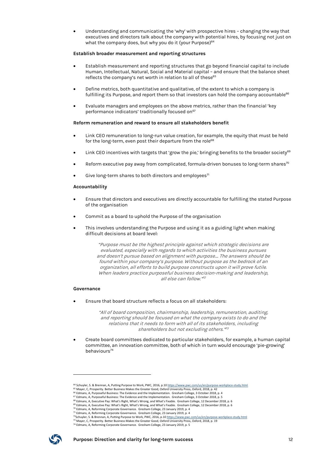• Understanding and communicating the 'why' with prospective hires – changing the way that executives and directors talk about the company with potential hires, by focusing not just on what the company does, but why you do it (your Purpose) 64

#### **Establish broader measurement and reporting structures**

- Establish measurement and reporting structures that go beyond financial capital to include Human, Intellectual, Natural, Social and Material capital – and ensure that the balance sheet reflects the company's net worth in relation to all of these<sup>65</sup>
- Define metrics, both quantitative and qualitative, of the extent to which a company is fulfilling its Purpose, and report them so that investors can hold the company accountable<sup>66</sup>
- Evaluate managers and employees on the above metrics, rather than the financial 'key performance indicators' traditionally focused on<sup>67</sup>

#### **Reform remuneration and reward to ensure all stakeholders benefit**

- Link CEO remuneration to long-run value creation, for example, the equity that must be held for the long-term, even post their departure from the role<sup>68</sup>
- Link CEO incentives with targets that 'grow the pie,' bringing benefits to the broader society<sup>69</sup>
- Reform executive pay away from complicated, formula-driven bonuses to long-term shares $70$
- Give long-term shares to both directors and employees $71$

#### **Accountability**

- Ensure that directors and executives are directly accountable for fulfilling the stated Purpose of the organisation
- Commit as a board to uphold the Purpose of the organisation
- This involves understanding the Purpose and using it as a guiding light when making difficult decisions at board level:

"Purpose must be the highest principle against which strategic decisions are evaluated, especially with regards to which activities the business pursues and doesn't pursue based on alignment with purpose…. The answers should be found within your company's purpose. Without purpose as the bedrock of an organization, all efforts to build purpose constructs upon it will prove futile. When leaders practice purposeful business decision-making and leadership, all else can follow." 72

#### **Governance**

• Ensure that board structure reflects a focus on all stakeholders:

"All of board composition, chairmanship, leadership, remuneration, auditing, and reporting should be focused on what the company exists to do and the relations that it needs to form with all of its stakeholders, including shareholders but not excluding others."73

• Create board committees dedicated to particular stakeholders, for example, a human capital committee, an innovation committee, both of which in turn would encourage 'pie-growing' behaviours<sup>74</sup>

<sup>74</sup> Edmans, A, Reforming Corporate Governance. Gresham College, 23 January 2019, p. 5



<sup>&</sup>lt;sup>64</sup> Schuyler, S. & Brennan, A, Putting Purpose to Work, PWC, 2016, p.10 https://www.pwc.com/us/en/purpose-workplace-study.html

<sup>65</sup> Mayer, C, Prosperity. Better Business Makes the Greater Good, Oxford University Press, Oxford, 2018, p. 42

<sup>66</sup> Edmans, A, Purposeful Business: The Evidence and the Implementation. Gresham College, 3 October 2018, p. 4 <sup>67</sup> Edmans, A, Purposeful Business: The Evidence and the Implementation. Gresham College, 3 October 2018, p. 5

<sup>&</sup>lt;sup>68</sup> Edmans, A, Executive Pay: What's Right, What's Wrong, and What's Fixable. Gresham College, 12 December 2018, p. 6<br><sup>69</sup> Edmans, A, Executive Pay: What's Right, What's Wrong, and What's Fixable. Gresham College, 12 De

<sup>&</sup>lt;sup>70</sup> Edmans, A, Reforming Corporate Governance. Gresham College, 23 January 2019, p. 4<br><sup>71</sup> Edmans, A, Reforming Corporate Governance. Gresham College, 23 January 2019, p. 4

<sup>&</sup>lt;sup>72</sup>Schuyler, S. & Brennan, A, Putting Purpose to Work, PWC, 2016, p.10 <u>https://www.pwc.com/us/en/purpose-workplace-study.html</u><br><sup>73</sup> Mayer, C, Prosperity. Better Business Makes the Greater Good, Oxford University Press, O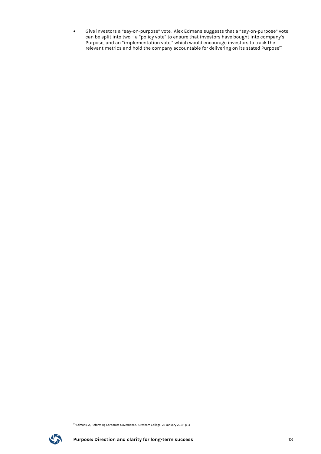• Give investors a "say-on-purpose" vote. Alex Edmans suggests that a "say-on-purpose" vote can be split into two – a "policy vote" to ensure that investors have bought into company's Purpose, and an "implementation vote," which would encourage investors to track the relevant metrics and hold the company accountable for delivering on its stated Purpose $^{75}$ 

<sup>75</sup> Edmans, A, Reforming Corporate Governance. Gresham College, 23 January 2019, p. 4

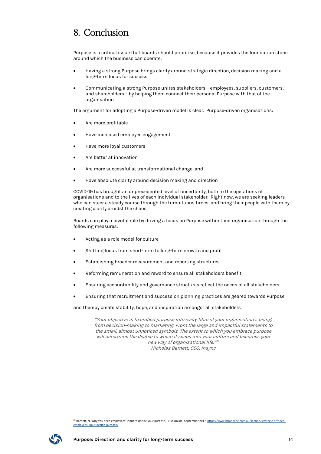### 8. Conclusion

Purpose is a critical issue that boards should prioritise, because it provides the foundation stone around which the business can operate:

- Having a strong Purpose brings clarity around strategic direction, decision making and a long-term focus for success
- Communicating a strong Purpose unites stakeholders employees, suppliers, customers, and shareholders – by helping them connect their personal Purpose with that of the organisation

The argument for adopting a Purpose-driven model is clear. Purpose-driven organisations:

- Are more profitable
- Have increased employee engagement
- Have more loyal customers
- Are better at innovation
- Are more successful at transformational change, and
- Have absolute clarity around decision making and direction

COVID-19 has brought an unprecedented level of uncertainty, both to the operations of organisations and to the lives of each individual stakeholder. Right now, we are seeking leaders who can steer a steady course through the tumultuous times, and bring their people with them by creating clarity amidst the chaos.

Boards can play a pivotal role by driving a focus on Purpose within their organisation through the following measures:

- Acting as a role model for culture
- Shifting focus from short-term to long-term growth and profit
- Establishing broader measurement and reporting structures
- Reforming remuneration and reward to ensure all stakeholders benefit
- Ensuring accountability and governance structures reflect the needs of all stakeholders
- Ensuring that recruitment and succession planning practices are geared towards Purpose

and thereby create stability, hope, and inspiration amongst all stakeholders.

"Your objective is to embed purpose into every fibre of your organisation's being: from decision-making to marketing. From the large and impactful statements to the small, almost unnoticed symbols. The extent to which you embrace purpose will determine the degree to which it seeps into your culture and becomes your new way of organisational life." 76 Nicholas Barnett, CEO, Insync

<sup>&</sup>lt;sup>76</sup> Barnett, N, Why you need employees' input to decide your purpose, HRM Online, September 2017 https://www.hrmonline.com.au/section/strategic-hr/needemployees-input-decide-purpose/

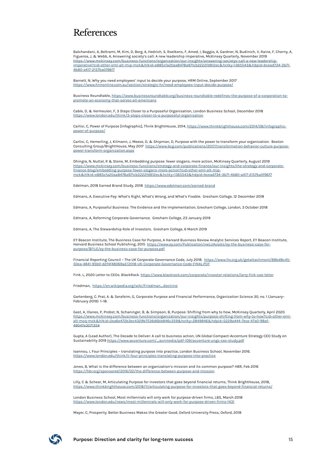### References

Balchandani, A, Beltrami, M, Kim, D, Berg, A, Hedrich, S, Roelkens, F, Amed, I, Baggio, A, Gardner, N, Budinich, V, Raine, F, Cherny, A, Figueroa, J, & Webb, A, Answering society's call: A new leadership imperative, McKinsey Quarterly, November 2019 https://www.mckinsey.com/business-functions/organization/our-insights/answering-societys-call-a-new-leadershipimperative?cid=other-eml-alt-mip-mck&hlkid=e885cfa20aa8478a971cb2222fd812ec&hctky=1365543&hdpid=bcead734-3b71- 4b80-a417-2157ba0f96f7

Barnett, N, Why you need employees' input to decide your purpose, HRM Online, September 2017 https://www.hrmonline.com.au/section/strategic-hr/need-employees-input-decide-purpose/

Business Roundtable, https://www.businessroundtable.org/business-roundtable-redefines-the-purpose-of-a-corporation-topromote-an-economy-that-serves-all-americans

Cable, D, & Vermeulen, F, 3 Steps Closer to a Purposeful Organisation, London Business School, December 2018 https://www.london.edu/think/3-steps-closer-to-a-purposeful-organisation

Carlisi, C, Power of Purpose [Infographic], Think BrightHouse, 2014, https://www.thinkbrighthouse.com/2014/08/infographicpower-of-purpose/

Carlisi, C, Hemerling, J, Kilmann, J, Meese, D, & Shipman, D, Purpose with the power to transform your organization. Boston Consulting Group/BrightHouse, May 2017 https://www.bcg.com/publications/2017/transformation-behavior-culture-purposepower-transform-organization.aspx

Dhingra, N, Nuttal, R & Stone, M, Embedding purpose: fewer slogans, more action, McKinsey Quarterly, August 2019 https://www.mckinsey.com/business-functions/strategy-and-corporate-finance/our-insights/the-strategy-and-corporatefinance-blog/embedding-purpose-fewer-slogans-more-action?cid=other-eml-alt-mipmck&hlkid=e885cfa20aa8478a971cb2222fd812ec&hctky=1365543&hdpid=bcead734-3b71-4b80-a417-2157ba0f96f7

Edelman, 2018 Earned Brand Study, 2018 https://www.edelman.com/earned-brand

Edmans, A, Executive Pay: What's Right, What's Wrong, and What's Fixable. Gresham College, 12 December 2018

Edmans, A, Purposeful Business: The Evidence and the Implementation, Gresham College, London, 3 October 2018

Edmans, A, Reforming Corporate Governance. Gresham College, 23 January 2019

Edmans, A, The Stewardship Role of Investors. Gresham College, 6 March 2019

EY Beacon Institute, The Business Case for Purpose, A Harvard Business Review Analytic Services Report, EY Beacon Institute, Harvard Business School Publishing, 2015 https://www.ey.com/Publication/vwLUAssets/ey-the-business-case-forpurpose/\$FILE/ey-the-business-case-for-purpose.pdf

Financial Reporting Council – The UK Corporate Governance Code, July 2018. https://www.frc.org.uk/getattachment/88bd8c45- 50ea-4841-95b0-d2f4f48069a2/2018-UK-Corporate-Governance-Code-FINAL.PDF

Fink. L, 2020 Letter to CEOs. BlackRock. https://www.blackrock.com/corporate/investor-relations/larry-fink-ceo-letter

Friedman, https://en.wikipedia.org/wiki/Friedman\_doctrine

Gartenberg, C. Prat, A. & Serafeim, G, Corporate Purpose and Financial Performance, Organization Science 30, no. 1 (January– February 2019): 1–18.

Gast, A, Illanes, P, Probst, N, Schaninger, B, & Simpson, B, Purpose: Shifting from why to how, McKinsey Quarterly, April 2020. https://www.mckinsey.com/business-functions/organization/our-insights/purpose-shifting-from-why-to-how?cid=other-emlalt-mcq-mck&hlkid=2ea6e472b3ec4329b7536d6bb846c359&hctky=2849846&hdpid=5229a444-7ece-47a0-98af-49047e307135#

Gupta, A (Lead Author), The Decade to Deliver: A call to business action, UN Global Compact-Accenture Strategy CEO Study on Sustainability 2019 https://www.accenture.com/\_acnmedia/pdf-109/accenture-ungc-ceo-study.pdf

Ioannou, I, Four Principles – translating purpose into practice, London Business School, November 2016. https://www.london.edu/think/li-four-principles-translating-purpose-into-practice

Jones, B, What is the difference between an organization's mission and its common purpose? HBR, Feb 2016 https://hbr.org/sponsored/2016/02/the-difference-between-purpose-and-mission

Lilly, C & Schear, M, Articulating Purpose for investors that goes beyond financial returns, Think BrightHouse, 2018, https://www.thinkbrighthouse.com/2018/11/articulating-purpose-for-investors-that-goes-beyond-financial-returns/

London Business School, Most millennials will only work for purpose-driven firms, LBS, March 2018 https://www.london.edu/news/most-millennials-will-only-work-for-purpose-driven-firms-1431

Mayer, C, Prosperity. Better Business Makes the Greater Good, Oxford University Press, Oxford, 2018

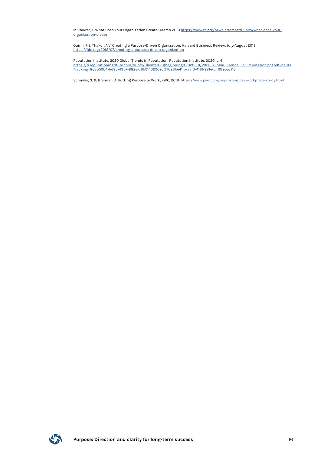Millbower, L, What Does Your Organization Create? March 2018 https://www.td.org/newsletters/atd-links/what-does-yourorganization-create

Quinn, R.E. Thakor, A.V, Creating a Purpose-Driven Organization, Harvard Business Review, July-August 2018 https://hbr.org/2018/07/creating-a-purpose-driven-organization

Reputation Institute, 2020 Global Trends in Reputation, Reputation Institute, 2020, p. 4 https://ri.reputationinstitute.com/hubfs/Clients%20(beginning%202020)/2020\_Global\_Trends\_in\_Reputation.pdf.pdf?hsCta Tracking=86ab59b4-bd9b-43b7-882e-c6b91402909c%7C23be41fb-aaf0-4161-98fe-b419f9bacf16

Schuyler, S. & Brennan, A, Putting Purpose to Work, PWC, 2016 https://www.pwc.com/us/en/purpose-workplace-study.html